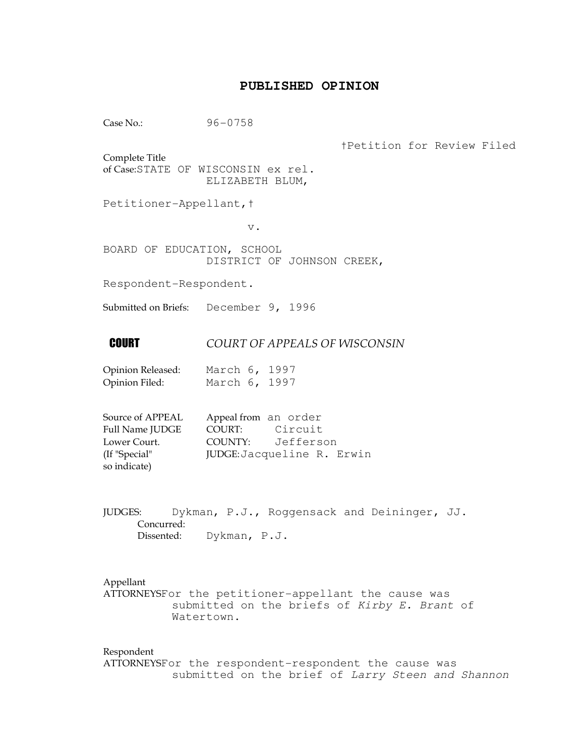# **PUBLISHED OPINION**

Case No.: 96-0758

†Petition for Review Filed

Complete Title of Case:STATE OF WISCONSIN ex rel. ELIZABETH BLUM,

Petitioner-Appellant,†

v.

BOARD OF EDUCATION, SCHOOL DISTRICT OF JOHNSON CREEK,

Respondent-Respondent.

Submitted on Briefs: December 9, 1996

# **COURT OF APPEALS OF WISCONSIN**

Opinion Released: March 6, 1997 Opinion Filed: March 6, 1997

| Source of APPEAL | Appeal from an order |                            |
|------------------|----------------------|----------------------------|
| Full Name JUDGE  | COURT: Circuit       |                            |
| Lower Court.     |                      | COUNTY: Jefferson          |
| (If "Special"    |                      | JUDGE: Jacqueline R. Erwin |
| so indicate)     |                      |                            |

JUDGES: Dykman, P.J., Roggensack and Deininger, JJ. Concurred: Dissented: Dykman, P.J.

## Appellant

ATTORNEYSFor the petitioner-appellant the cause was submitted on the briefs of Kirby E. Brant of Watertown.

Respondent ATTORNEYSFor the respondent-respondent the cause was submitted on the brief of Larry Steen and Shannon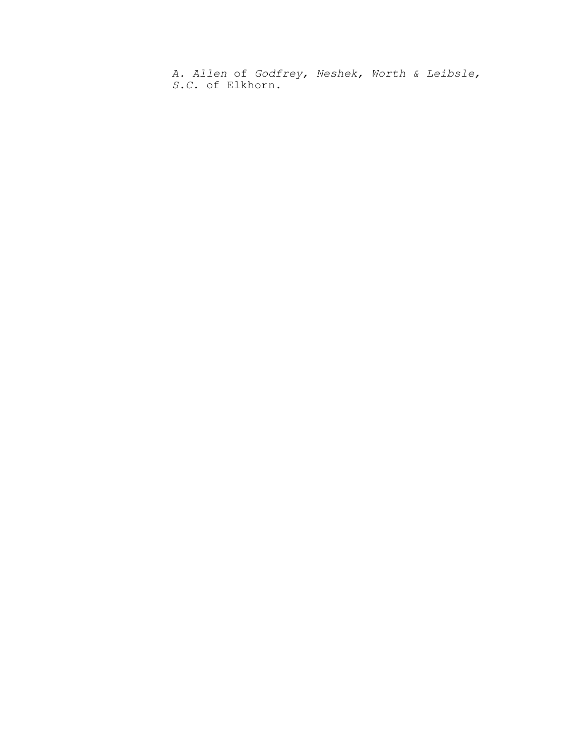A. Allen of Godfrey, Neshek, Worth & Leibsle, S.C. of Elkhorn.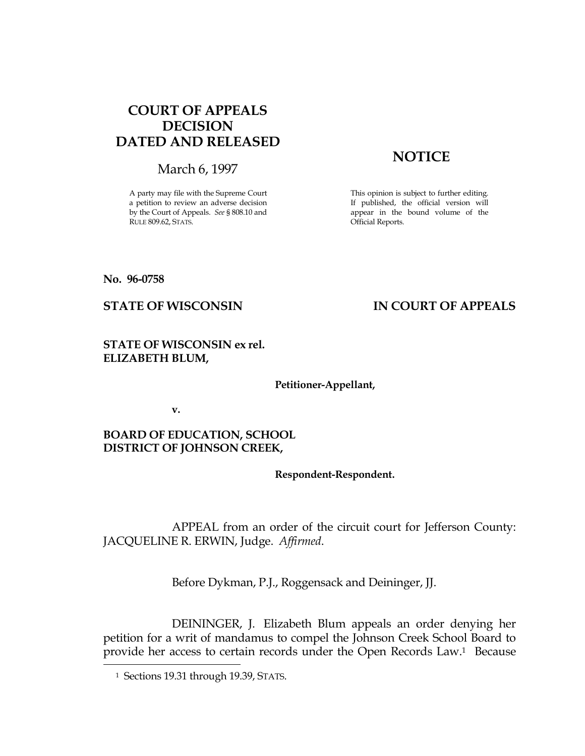# COURT OF APPEALS DECISION DATED AND RELEASED

March 6, 1997

A party may file with the Supreme Court a petition to review an adverse decision by the Court of Appeals. See § 808.10 and RULE 809.62, STATS.

# **NOTICE**

This opinion is subject to further editing. If published, the official version will appear in the bound volume of the Official Reports.

No. 96-0758

# STATE OF WISCONSIN IN COURT OF APPEALS

STATE OF WISCONSIN ex rel. ELIZABETH BLUM,

Petitioner-Appellant,

v.

BOARD OF EDUCATION, SCHOOL DISTRICT OF JOHNSON CREEK,

Respondent-Respondent.

 APPEAL from an order of the circuit court for Jefferson County: JACQUELINE R. ERWIN, Judge. Affirmed.

Before Dykman, P.J., Roggensack and Deininger, JJ.

 DEININGER, J. Elizabeth Blum appeals an order denying her petition for a writ of mandamus to compel the Johnson Creek School Board to provide her access to certain records under the Open Records Law.1 Because

Ī.

<sup>&</sup>lt;sup>1</sup> Sections 19.31 through 19.39, STATS.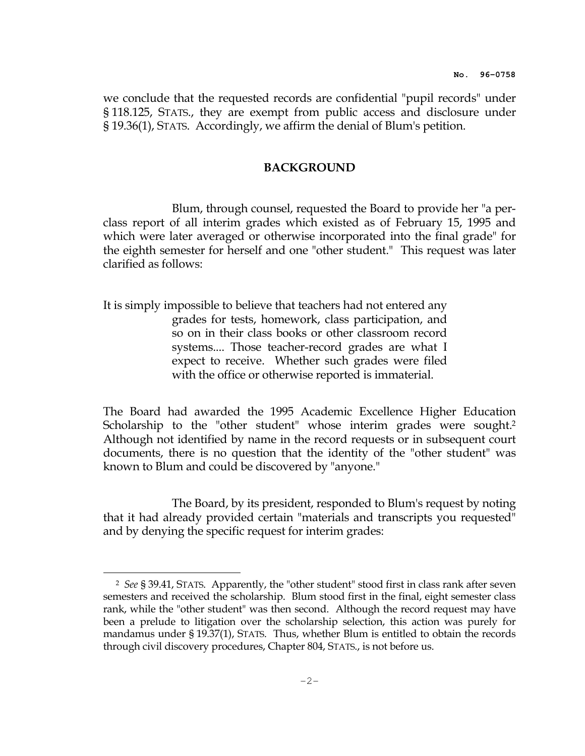we conclude that the requested records are confidential "pupil records" under § 118.125, STATS., they are exempt from public access and disclosure under § 19.36(1), STATS. Accordingly, we affirm the denial of Blum's petition.

## BACKGROUND

 Blum, through counsel, requested the Board to provide her "a perclass report of all interim grades which existed as of February 15, 1995 and which were later averaged or otherwise incorporated into the final grade" for the eighth semester for herself and one "other student." This request was later clarified as follows:

It is simply impossible to believe that teachers had not entered any grades for tests, homework, class participation, and so on in their class books or other classroom record systems.... Those teacher-record grades are what I expect to receive. Whether such grades were filed with the office or otherwise reported is immaterial.

The Board had awarded the 1995 Academic Excellence Higher Education Scholarship to the "other student" whose interim grades were sought.<sup>2</sup> Although not identified by name in the record requests or in subsequent court documents, there is no question that the identity of the "other student" was known to Blum and could be discovered by "anyone."

 The Board, by its president, responded to Blum's request by noting that it had already provided certain "materials and transcripts you requested" and by denying the specific request for interim grades:

e<br>S

<sup>2</sup> See § 39.41, STATS. Apparently, the "other student" stood first in class rank after seven semesters and received the scholarship. Blum stood first in the final, eight semester class rank, while the "other student" was then second. Although the record request may have been a prelude to litigation over the scholarship selection, this action was purely for mandamus under § 19.37(1), STATS. Thus, whether Blum is entitled to obtain the records through civil discovery procedures, Chapter 804, STATS., is not before us.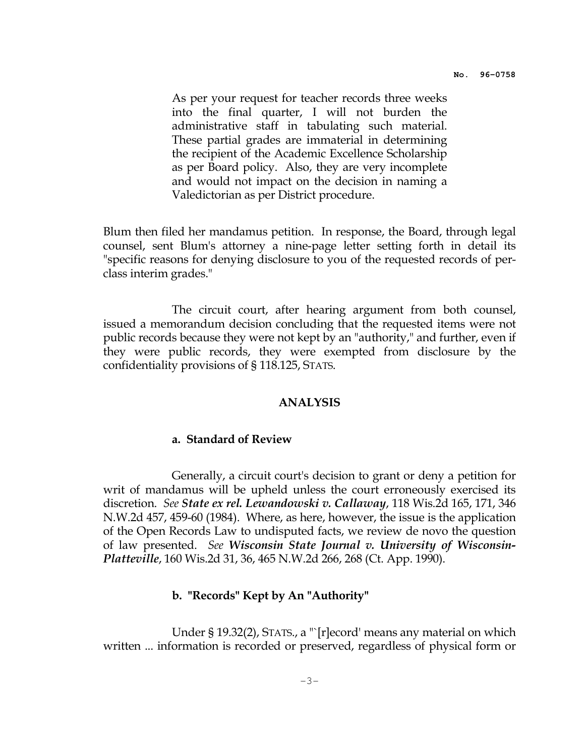As per your request for teacher records three weeks into the final quarter, I will not burden the administrative staff in tabulating such material. These partial grades are immaterial in determining the recipient of the Academic Excellence Scholarship as per Board policy. Also, they are very incomplete and would not impact on the decision in naming a Valedictorian as per District procedure.

Blum then filed her mandamus petition. In response, the Board, through legal counsel, sent Blum's attorney a nine-page letter setting forth in detail its "specific reasons for denying disclosure to you of the requested records of perclass interim grades."

 The circuit court, after hearing argument from both counsel, issued a memorandum decision concluding that the requested items were not public records because they were not kept by an "authority," and further, even if they were public records, they were exempted from disclosure by the confidentiality provisions of § 118.125, STATS.

#### ANALYSIS

### a. Standard of Review

 Generally, a circuit court's decision to grant or deny a petition for writ of mandamus will be upheld unless the court erroneously exercised its discretion. See State ex rel. Lewandowski v. Callaway, 118 Wis.2d 165, 171, 346 N.W.2d 457, 459-60 (1984). Where, as here, however, the issue is the application of the Open Records Law to undisputed facts, we review de novo the question of law presented. See Wisconsin State Journal v. University of Wisconsin-Platteville, 160 Wis.2d 31, 36, 465 N.W.2d 266, 268 (Ct. App. 1990).

### b. "Records" Kept by An "Authority"

Under § 19.32(2), STATS., a "`[r]ecord' means any material on which written ... information is recorded or preserved, regardless of physical form or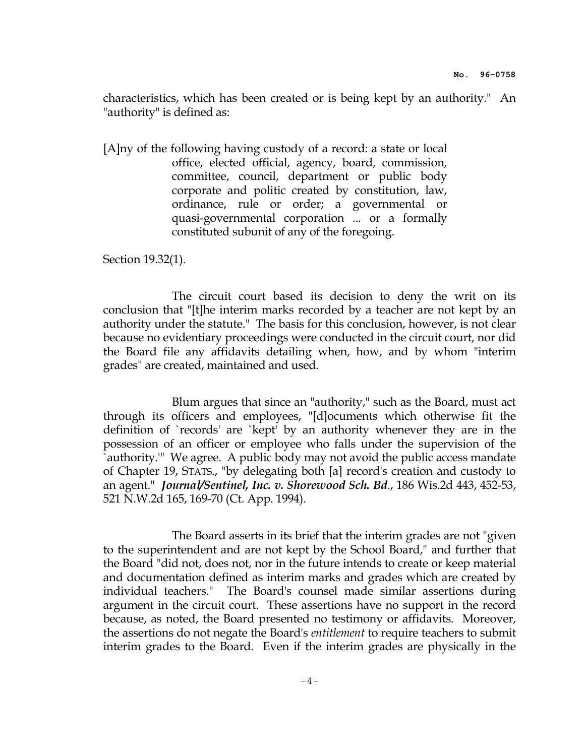characteristics, which has been created or is being kept by an authority." An "authority" is defined as:

[A]ny of the following having custody of a record: a state or local office, elected official, agency, board, commission, committee, council, department or public body corporate and politic created by constitution, law, ordinance, rule or order; a governmental or quasi-governmental corporation ... or a formally constituted subunit of any of the foregoing.

Section 19.32(1).

 The circuit court based its decision to deny the writ on its conclusion that "[t]he interim marks recorded by a teacher are not kept by an authority under the statute." The basis for this conclusion, however, is not clear because no evidentiary proceedings were conducted in the circuit court, nor did the Board file any affidavits detailing when, how, and by whom "interim grades" are created, maintained and used.

 Blum argues that since an "authority," such as the Board, must act through its officers and employees, "[d]ocuments which otherwise fit the definition of `records' are `kept' by an authority whenever they are in the possession of an officer or employee who falls under the supervision of the `authority.'" We agree. A public body may not avoid the public access mandate of Chapter 19, STATS., "by delegating both [a] record's creation and custody to an agent." Journal/Sentinel, Inc. v. Shorewood Sch. Bd., 186 Wis.2d 443, 452-53, 521 N.W.2d 165, 169-70 (Ct. App. 1994).

 The Board asserts in its brief that the interim grades are not "given to the superintendent and are not kept by the School Board," and further that the Board "did not, does not, nor in the future intends to create or keep material and documentation defined as interim marks and grades which are created by individual teachers." The Board's counsel made similar assertions during argument in the circuit court. These assertions have no support in the record because, as noted, the Board presented no testimony or affidavits. Moreover, the assertions do not negate the Board's entitlement to require teachers to submit interim grades to the Board. Even if the interim grades are physically in the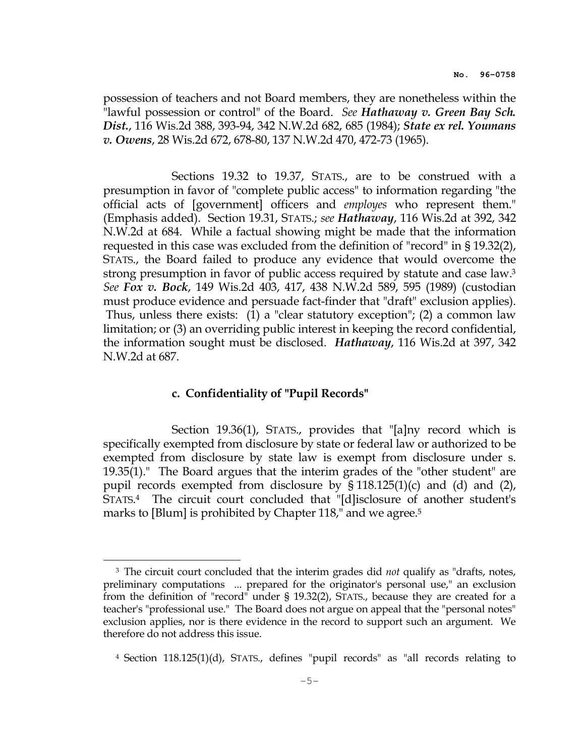possession of teachers and not Board members, they are nonetheless within the "lawful possession or control" of the Board. See Hathaway v. Green Bay Sch. Dist., 116 Wis.2d 388, 393-94, 342 N.W.2d 682, 685 (1984); State ex rel. Youmans v. Owens, 28 Wis.2d 672, 678-80, 137 N.W.2d 470, 472-73 (1965).

 Sections 19.32 to 19.37, STATS., are to be construed with a presumption in favor of "complete public access" to information regarding "the official acts of [government] officers and employes who represent them." (Emphasis added). Section 19.31, STATS.; see Hathaway, 116 Wis.2d at 392, 342 N.W.2d at 684. While a factual showing might be made that the information requested in this case was excluded from the definition of "record" in § 19.32(2), STATS., the Board failed to produce any evidence that would overcome the strong presumption in favor of public access required by statute and case law.<sup>3</sup> See Fox v. Bock, 149 Wis.2d 403, 417, 438 N.W.2d 589, 595 (1989) (custodian must produce evidence and persuade fact-finder that "draft" exclusion applies). Thus, unless there exists: (1) a "clear statutory exception"; (2) a common law limitation; or (3) an overriding public interest in keeping the record confidential, the information sought must be disclosed. Hathaway, 116 Wis.2d at 397, 342 N.W.2d at 687.

# c. Confidentiality of "Pupil Records"

i<br>H

 Section 19.36(1), STATS., provides that "[a]ny record which is specifically exempted from disclosure by state or federal law or authorized to be exempted from disclosure by state law is exempt from disclosure under s. 19.35(1)." The Board argues that the interim grades of the "other student" are pupil records exempted from disclosure by § 118.125(1)(c) and (d) and (2), STATS. <sup>4</sup> The circuit court concluded that "[d]isclosure of another student's marks to [Blum] is prohibited by Chapter 118," and we agree.<sup>5</sup>

<sup>&</sup>lt;sup>3</sup> The circuit court concluded that the interim grades did *not* qualify as "drafts, notes, preliminary computations ... prepared for the originator's personal use," an exclusion from the definition of "record" under § 19.32(2), STATS., because they are created for a teacher's "professional use." The Board does not argue on appeal that the "personal notes" exclusion applies, nor is there evidence in the record to support such an argument. We therefore do not address this issue.

<sup>4</sup> Section 118.125(1)(d), STATS., defines "pupil records" as "all records relating to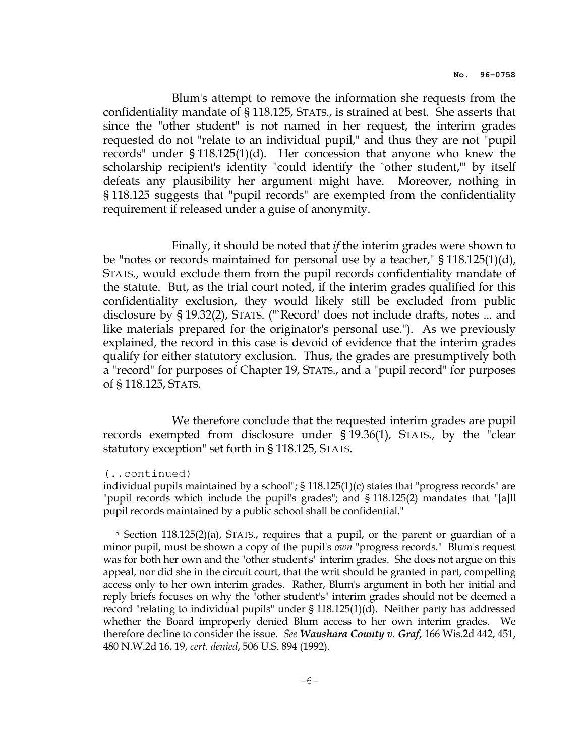Blum's attempt to remove the information she requests from the confidentiality mandate of § 118.125, STATS., is strained at best. She asserts that since the "other student" is not named in her request, the interim grades requested do not "relate to an individual pupil," and thus they are not "pupil records" under § 118.125(1)(d). Her concession that anyone who knew the scholarship recipient's identity "could identify the `other student,'" by itself defeats any plausibility her argument might have. Moreover, nothing in § 118.125 suggests that "pupil records" are exempted from the confidentiality requirement if released under a guise of anonymity.

 Finally, it should be noted that if the interim grades were shown to be "notes or records maintained for personal use by a teacher," § 118.125(1)(d), STATS., would exclude them from the pupil records confidentiality mandate of the statute. But, as the trial court noted, if the interim grades qualified for this confidentiality exclusion, they would likely still be excluded from public disclosure by § 19.32(2), STATS. ("`Record' does not include drafts, notes ... and like materials prepared for the originator's personal use."). As we previously explained, the record in this case is devoid of evidence that the interim grades qualify for either statutory exclusion. Thus, the grades are presumptively both a "record" for purposes of Chapter 19, STATS., and a "pupil record" for purposes of § 118.125, STATS.

 We therefore conclude that the requested interim grades are pupil records exempted from disclosure under § 19.36(1), STATS., by the "clear statutory exception" set forth in § 118.125, STATS.

#### (..continued)

individual pupils maintained by a school";  $\S 118.125(1)(c)$  states that "progress records" are "pupil records which include the pupil's grades"; and § 118.125(2) mandates that "[a]ll pupil records maintained by a public school shall be confidential."

<sup>5</sup> Section 118.125(2)(a), STATS., requires that a pupil, or the parent or guardian of a minor pupil, must be shown a copy of the pupil's *own* "progress records." Blum's request was for both her own and the "other student's" interim grades. She does not argue on this appeal, nor did she in the circuit court, that the writ should be granted in part, compelling access only to her own interim grades. Rather, Blum's argument in both her initial and reply briefs focuses on why the "other student's" interim grades should not be deemed a record "relating to individual pupils" under § 118.125(1)(d). Neither party has addressed whether the Board improperly denied Blum access to her own interim grades. We therefore decline to consider the issue. See Waushara County v. Graf, 166 Wis.2d 442, 451, 480 N.W.2d 16, 19, cert. denied, 506 U.S. 894 (1992).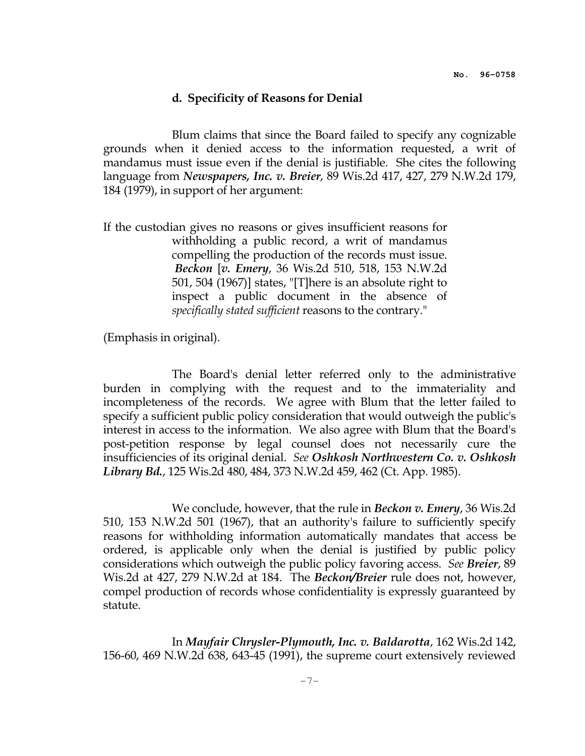#### d. Specificity of Reasons for Denial

 Blum claims that since the Board failed to specify any cognizable grounds when it denied access to the information requested, a writ of mandamus must issue even if the denial is justifiable. She cites the following language from Newspapers, Inc. v. Breier, 89 Wis.2d 417, 427, 279 N.W.2d 179, 184 (1979), in support of her argument:

If the custodian gives no reasons or gives insufficient reasons for withholding a public record, a writ of mandamus compelling the production of the records must issue. Beckon [v. Emery, 36 Wis.2d 510, 518, 153 N.W.2d 501, 504 (1967)] states, "[T]here is an absolute right to inspect a public document in the absence of specifically stated sufficient reasons to the contrary."

(Emphasis in original).

 The Board's denial letter referred only to the administrative burden in complying with the request and to the immateriality and incompleteness of the records. We agree with Blum that the letter failed to specify a sufficient public policy consideration that would outweigh the public's interest in access to the information. We also agree with Blum that the Board's post-petition response by legal counsel does not necessarily cure the insufficiencies of its original denial. See Oshkosh Northwestern Co. v. Oshkosh Library Bd., 125 Wis.2d 480, 484, 373 N.W.2d 459, 462 (Ct. App. 1985).

We conclude, however, that the rule in **Beckon v. Emery**, 36 Wis.2d 510, 153 N.W.2d 501 (1967), that an authority's failure to sufficiently specify reasons for withholding information automatically mandates that access be ordered, is applicable only when the denial is justified by public policy considerations which outweigh the public policy favoring access. See Breier, 89 Wis.2d at 427, 279 N.W.2d at 184. The Beckon/Breier rule does not, however, compel production of records whose confidentiality is expressly guaranteed by statute.

 In Mayfair Chrysler-Plymouth, Inc. v. Baldarotta, 162 Wis.2d 142, 156-60, 469 N.W.2d 638, 643-45 (1991), the supreme court extensively reviewed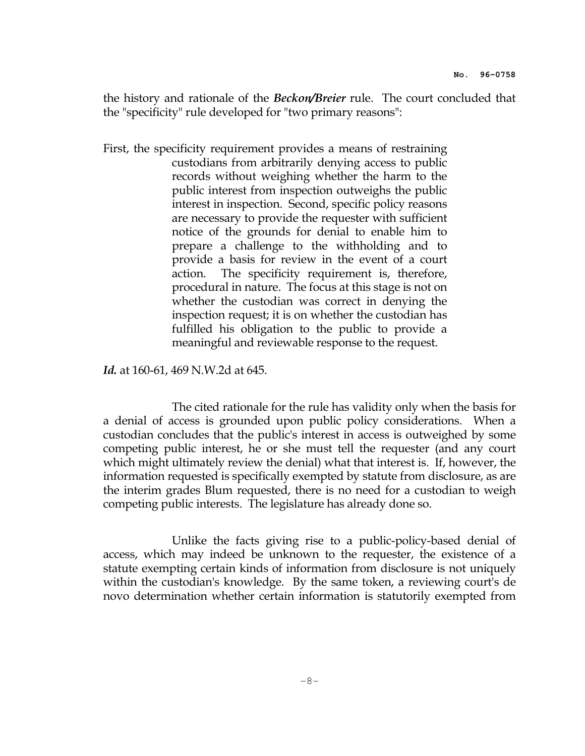the history and rationale of the *Beckon/Breier* rule. The court concluded that the "specificity" rule developed for "two primary reasons":

First, the specificity requirement provides a means of restraining custodians from arbitrarily denying access to public records without weighing whether the harm to the public interest from inspection outweighs the public interest in inspection. Second, specific policy reasons are necessary to provide the requester with sufficient notice of the grounds for denial to enable him to prepare a challenge to the withholding and to provide a basis for review in the event of a court action. The specificity requirement is, therefore, procedural in nature. The focus at this stage is not on whether the custodian was correct in denying the inspection request; it is on whether the custodian has fulfilled his obligation to the public to provide a meaningful and reviewable response to the request.

Id. at 160-61, 469 N.W.2d at 645.

 The cited rationale for the rule has validity only when the basis for a denial of access is grounded upon public policy considerations. When a custodian concludes that the public's interest in access is outweighed by some competing public interest, he or she must tell the requester (and any court which might ultimately review the denial) what that interest is. If, however, the information requested is specifically exempted by statute from disclosure, as are the interim grades Blum requested, there is no need for a custodian to weigh competing public interests. The legislature has already done so.

 Unlike the facts giving rise to a public-policy-based denial of access, which may indeed be unknown to the requester, the existence of a statute exempting certain kinds of information from disclosure is not uniquely within the custodian's knowledge. By the same token, a reviewing court's de novo determination whether certain information is statutorily exempted from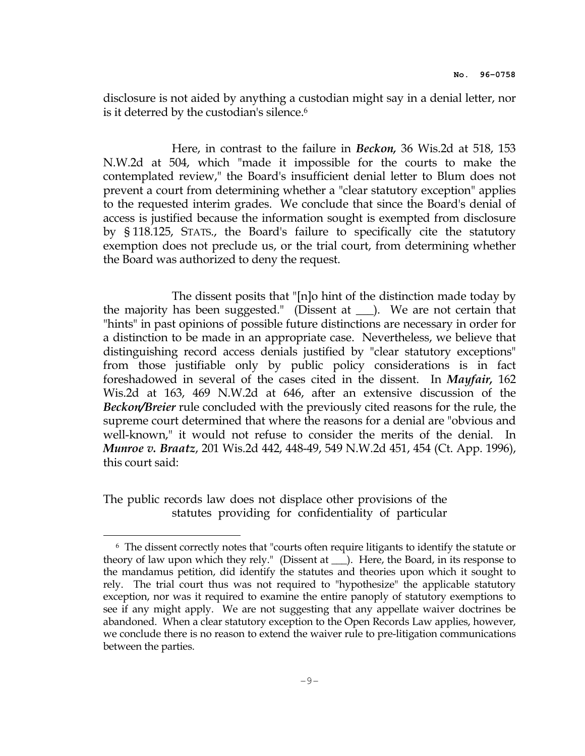disclosure is not aided by anything a custodian might say in a denial letter, nor is it deterred by the custodian's silence.<sup>6</sup>

 Here, in contrast to the failure in Beckon, 36 Wis.2d at 518, 153 N.W.2d at 504, which "made it impossible for the courts to make the contemplated review," the Board's insufficient denial letter to Blum does not prevent a court from determining whether a "clear statutory exception" applies to the requested interim grades. We conclude that since the Board's denial of access is justified because the information sought is exempted from disclosure by § 118.125, STATS., the Board's failure to specifically cite the statutory exemption does not preclude us, or the trial court, from determining whether the Board was authorized to deny the request.

 The dissent posits that "[n]o hint of the distinction made today by the majority has been suggested." (Dissent at \_\_\_). We are not certain that "hints" in past opinions of possible future distinctions are necessary in order for a distinction to be made in an appropriate case. Nevertheless, we believe that distinguishing record access denials justified by "clear statutory exceptions" from those justifiable only by public policy considerations is in fact foreshadowed in several of the cases cited in the dissent. In Mayfair, 162 Wis.2d at 163, 469 N.W.2d at 646, after an extensive discussion of the Beckon/Breier rule concluded with the previously cited reasons for the rule, the supreme court determined that where the reasons for a denial are "obvious and well-known," it would not refuse to consider the merits of the denial. In Munroe v. Braatz, 201 Wis.2d 442, 448-49, 549 N.W.2d 451, 454 (Ct. App. 1996), this court said:

The public records law does not displace other provisions of the statutes providing for confidentiality of particular

i<br>H

<sup>6</sup> The dissent correctly notes that "courts often require litigants to identify the statute or theory of law upon which they rely." (Dissent at \_\_\_). Here, the Board, in its response to the mandamus petition, did identify the statutes and theories upon which it sought to rely. The trial court thus was not required to "hypothesize" the applicable statutory exception, nor was it required to examine the entire panoply of statutory exemptions to see if any might apply. We are not suggesting that any appellate waiver doctrines be abandoned. When a clear statutory exception to the Open Records Law applies, however, we conclude there is no reason to extend the waiver rule to pre-litigation communications between the parties.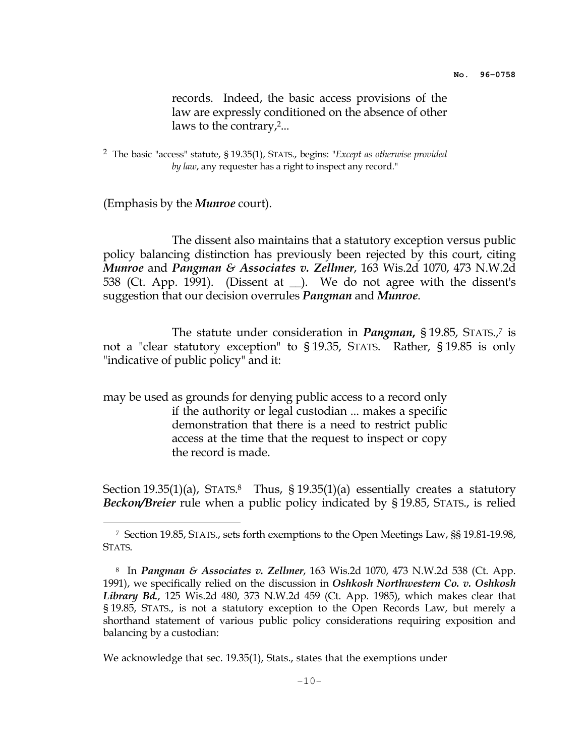records. Indeed, the basic access provisions of the law are expressly conditioned on the absence of other laws to the contrary,<sup>2</sup>...

<sup>2</sup> The basic "access" statute, § 19.35(1), STATS., begins: "Except as otherwise provided by law, any requester has a right to inspect any record."

(Emphasis by the *Munroe* court).

i<br>H

 The dissent also maintains that a statutory exception versus public policy balancing distinction has previously been rejected by this court, citing *Munroe* and *Pangman & Associates v. Zellmer,* 163 Wis.2d 1070, 473 N.W.2d 538 (Ct. App. 1991). (Dissent at \_\_). We do not agree with the dissent's suggestion that our decision overrules *Pangman* and *Munroe*.

The statute under consideration in *Pangman*, §19.85, STATS.,<sup>7</sup> is not a "clear statutory exception" to § 19.35, STATS. Rather, § 19.85 is only "indicative of public policy" and it:

may be used as grounds for denying public access to a record only if the authority or legal custodian ... makes a specific demonstration that there is a need to restrict public access at the time that the request to inspect or copy the record is made.

Section 19.35(1)(a), STATS.<sup>8</sup> Thus, § 19.35(1)(a) essentially creates a statutory Beckon/Breier rule when a public policy indicated by §19.85, STATS., is relied

<sup>7</sup> Section 19.85, STATS., sets forth exemptions to the Open Meetings Law, §§ 19.81-19.98, STATS.

<sup>&</sup>lt;sup>8</sup> In Pangman & Associates v. Zellmer, 163 Wis.2d 1070, 473 N.W.2d 538 (Ct. App. 1991), we specifically relied on the discussion in Oshkosh Northwestern Co. v. Oshkosh Library Bd., 125 Wis.2d 480, 373 N.W.2d 459 (Ct. App. 1985), which makes clear that § 19.85, STATS., is not a statutory exception to the Open Records Law, but merely a shorthand statement of various public policy considerations requiring exposition and balancing by a custodian:

We acknowledge that sec. 19.35(1), Stats., states that the exemptions under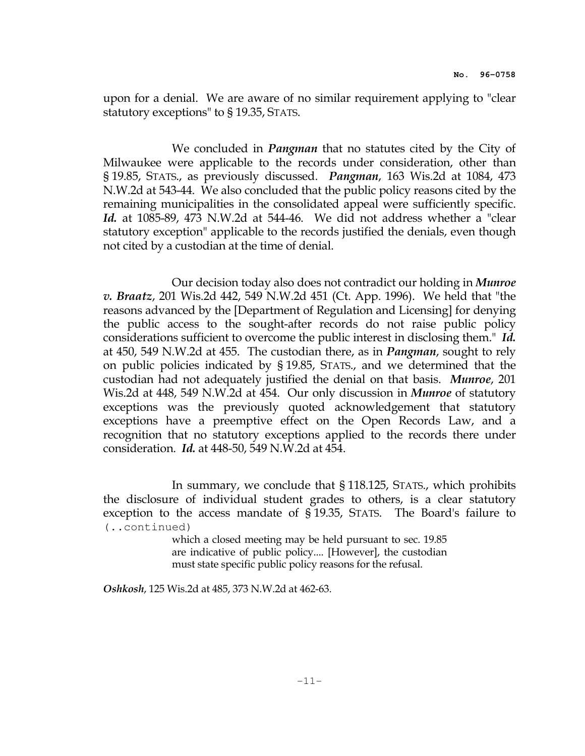upon for a denial. We are aware of no similar requirement applying to "clear statutory exceptions" to § 19.35, STATS.

We concluded in *Pangman* that no statutes cited by the City of Milwaukee were applicable to the records under consideration, other than § 19.85, STATS., as previously discussed. Pangman, 163 Wis.2d at 1084, 473 N.W.2d at 543-44. We also concluded that the public policy reasons cited by the remaining municipalities in the consolidated appeal were sufficiently specific. Id. at 1085-89, 473 N.W.2d at 544-46. We did not address whether a "clear statutory exception" applicable to the records justified the denials, even though not cited by a custodian at the time of denial.

 Our decision today also does not contradict our holding in Munroe v. Braatz, 201 Wis.2d 442, 549 N.W.2d 451 (Ct. App. 1996). We held that "the reasons advanced by the [Department of Regulation and Licensing] for denying the public access to the sought-after records do not raise public policy considerations sufficient to overcome the public interest in disclosing them." Id. at 450, 549 N.W.2d at 455. The custodian there, as in *Pangman*, sought to rely on public policies indicated by § 19.85, STATS., and we determined that the custodian had not adequately justified the denial on that basis. Munroe, 201 Wis.2d at 448, 549 N.W.2d at 454. Our only discussion in Munroe of statutory exceptions was the previously quoted acknowledgement that statutory exceptions have a preemptive effect on the Open Records Law, and a recognition that no statutory exceptions applied to the records there under consideration. Id. at 448-50, 549 N.W.2d at 454.

 In summary, we conclude that § 118.125, STATS., which prohibits the disclosure of individual student grades to others, is a clear statutory exception to the access mandate of § 19.35, STATS. The Board's failure to (..continued)

> which a closed meeting may be held pursuant to sec. 19.85 are indicative of public policy.... [However], the custodian must state specific public policy reasons for the refusal.

Oshkosh, 125 Wis.2d at 485, 373 N.W.2d at 462-63.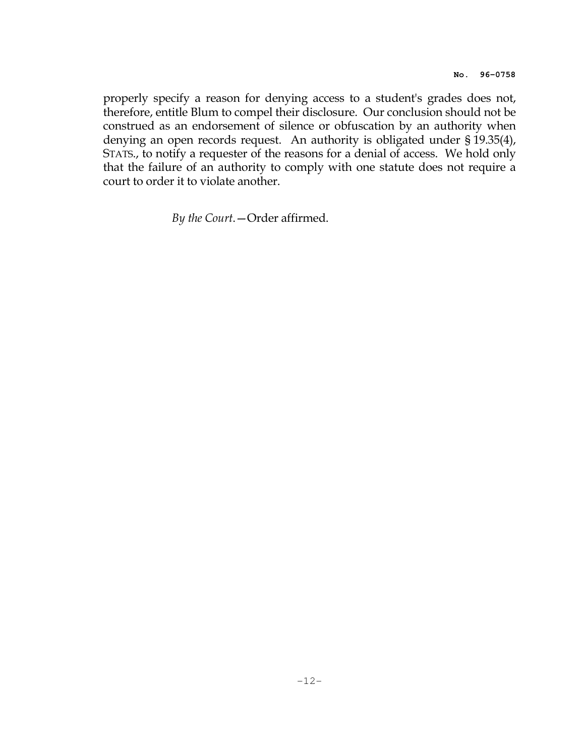properly specify a reason for denying access to a student's grades does not, therefore, entitle Blum to compel their disclosure. Our conclusion should not be construed as an endorsement of silence or obfuscation by an authority when denying an open records request. An authority is obligated under § 19.35(4), STATS., to notify a requester of the reasons for a denial of access. We hold only that the failure of an authority to comply with one statute does not require a court to order it to violate another.

By the Court.—Order affirmed.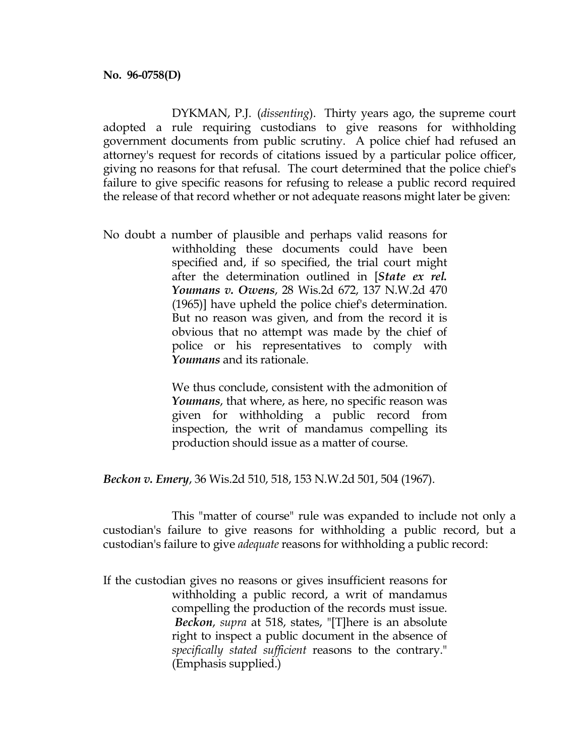DYKMAN, P.J. (dissenting). Thirty years ago, the supreme court adopted a rule requiring custodians to give reasons for withholding government documents from public scrutiny. A police chief had refused an attorney's request for records of citations issued by a particular police officer, giving no reasons for that refusal. The court determined that the police chief's failure to give specific reasons for refusing to release a public record required the release of that record whether or not adequate reasons might later be given:

No doubt a number of plausible and perhaps valid reasons for withholding these documents could have been specified and, if so specified, the trial court might after the determination outlined in [State ex rel. Youmans v. Owens, 28 Wis.2d 672, 137 N.W.2d 470 (1965)] have upheld the police chief's determination. But no reason was given, and from the record it is obvious that no attempt was made by the chief of police or his representatives to comply with Youmans and its rationale.

> We thus conclude, consistent with the admonition of Youmans, that where, as here, no specific reason was given for withholding a public record from inspection, the writ of mandamus compelling its production should issue as a matter of course.

Beckon v. Emery, 36 Wis.2d 510, 518, 153 N.W.2d 501, 504 (1967).

 This "matter of course" rule was expanded to include not only a custodian's failure to give reasons for withholding a public record, but a custodian's failure to give adequate reasons for withholding a public record:

If the custodian gives no reasons or gives insufficient reasons for withholding a public record, a writ of mandamus compelling the production of the records must issue. Beckon, supra at 518, states, "[T]here is an absolute right to inspect a public document in the absence of specifically stated sufficient reasons to the contrary." (Emphasis supplied.)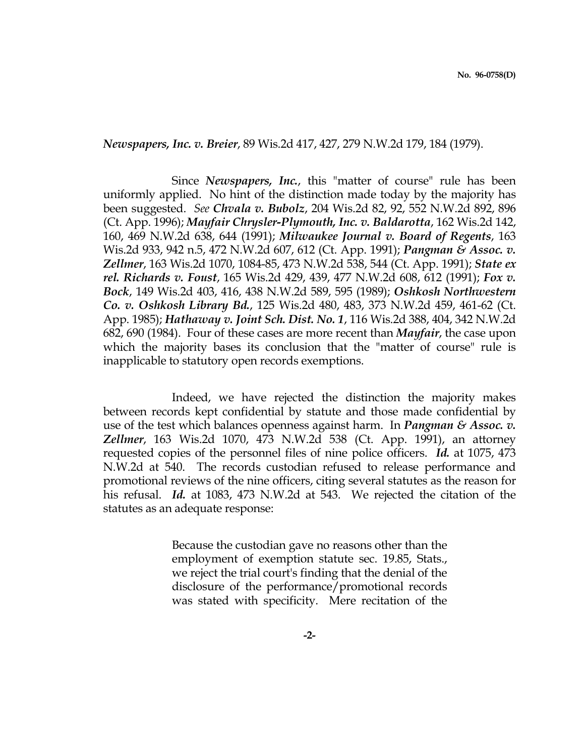Newspapers, Inc. v. Breier, 89 Wis.2d 417, 427, 279 N.W.2d 179, 184 (1979).

Since *Newspapers*, *Inc.*, this "matter of course" rule has been uniformly applied. No hint of the distinction made today by the majority has been suggested. See Chvala v. Bubolz, 204 Wis.2d 82, 92, 552 N.W.2d 892, 896 (Ct. App. 1996); Mayfair Chrysler-Plymouth, Inc. v. Baldarotta, 162 Wis.2d 142, 160, 469 N.W.2d 638, 644 (1991); Milwaukee Journal v. Board of Regents, 163 Wis.2d 933, 942 n.5, 472 N.W.2d 607, 612 (Ct. App. 1991); *Pangman & Assoc. v.* Zellmer, 163 Wis.2d 1070, 1084-85, 473 N.W.2d 538, 544 (Ct. App. 1991); State ex rel. Richards v. Foust, 165 Wis.2d 429, 439, 477 N.W.2d 608, 612 (1991); Fox v. Bock, 149 Wis.2d 403, 416, 438 N.W.2d 589, 595 (1989); Oshkosh Northwestern Co. v. Oshkosh Library Bd., 125 Wis.2d 480, 483, 373 N.W.2d 459, 461-62 (Ct. App. 1985); Hathaway v. Joint Sch. Dist. No. 1, 116 Wis.2d 388, 404, 342 N.W.2d 682, 690 (1984). Four of these cases are more recent than Mayfair, the case upon which the majority bases its conclusion that the "matter of course" rule is inapplicable to statutory open records exemptions.

 Indeed, we have rejected the distinction the majority makes between records kept confidential by statute and those made confidential by use of the test which balances openness against harm. In *Pangman & Assoc.*  $v$ . Zellmer, 163 Wis.2d 1070, 473 N.W.2d 538 (Ct. App. 1991), an attorney requested copies of the personnel files of nine police officers. Id. at 1075, 473 N.W.2d at 540. The records custodian refused to release performance and promotional reviews of the nine officers, citing several statutes as the reason for his refusal. Id. at 1083, 473 N.W.2d at 543. We rejected the citation of the statutes as an adequate response:

> Because the custodian gave no reasons other than the employment of exemption statute sec. 19.85, Stats., we reject the trial court's finding that the denial of the disclosure of the performance/promotional records was stated with specificity. Mere recitation of the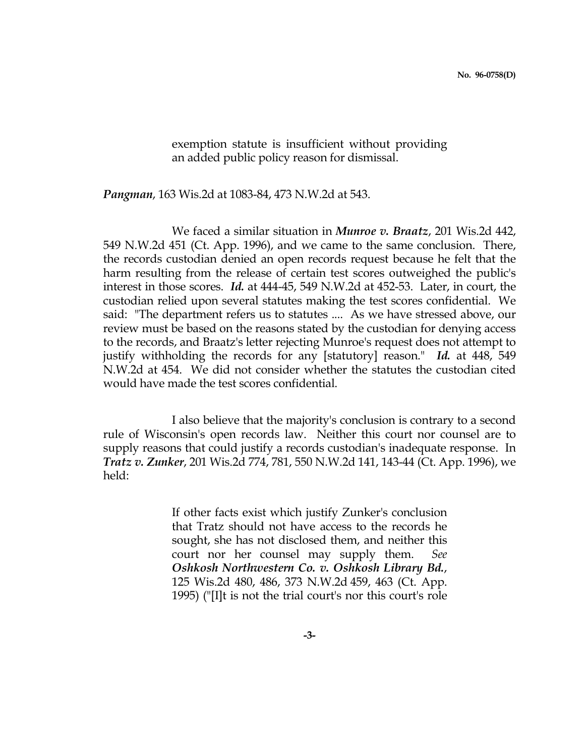exemption statute is insufficient without providing an added public policy reason for dismissal.

Pangman, 163 Wis.2d at 1083-84, 473 N.W.2d at 543.

We faced a similar situation in *Munroe v. Braatz*, 201 Wis.2d 442, 549 N.W.2d 451 (Ct. App. 1996), and we came to the same conclusion. There, the records custodian denied an open records request because he felt that the harm resulting from the release of certain test scores outweighed the public's interest in those scores. Id. at 444-45, 549 N.W.2d at 452-53. Later, in court, the custodian relied upon several statutes making the test scores confidential. We said: "The department refers us to statutes .... As we have stressed above, our review must be based on the reasons stated by the custodian for denying access to the records, and Braatz's letter rejecting Munroe's request does not attempt to justify withholding the records for any [statutory] reason." Id. at 448, 549 N.W.2d at 454. We did not consider whether the statutes the custodian cited would have made the test scores confidential.

 I also believe that the majority's conclusion is contrary to a second rule of Wisconsin's open records law. Neither this court nor counsel are to supply reasons that could justify a records custodian's inadequate response. In Tratz v. Zunker, 201 Wis.2d 774, 781, 550 N.W.2d 141, 143-44 (Ct. App. 1996), we held:

> If other facts exist which justify Zunker's conclusion that Tratz should not have access to the records he sought, she has not disclosed them, and neither this court nor her counsel may supply them. See Oshkosh Northwestern Co. v. Oshkosh Library Bd., 125 Wis.2d 480, 486, 373 N.W.2d 459, 463 (Ct. App. 1995) ("[I]t is not the trial court's nor this court's role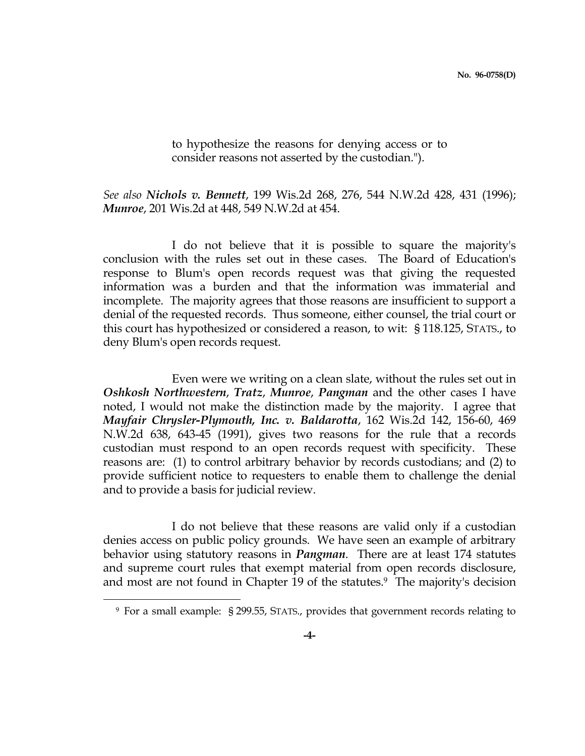to hypothesize the reasons for denying access or to consider reasons not asserted by the custodian.").

# See also Nichols v. Bennett, 199 Wis.2d 268, 276, 544 N.W.2d 428, 431 (1996); Munroe, 201 Wis.2d at 448, 549 N.W.2d at 454.

 I do not believe that it is possible to square the majority's conclusion with the rules set out in these cases. The Board of Education's response to Blum's open records request was that giving the requested information was a burden and that the information was immaterial and incomplete. The majority agrees that those reasons are insufficient to support a denial of the requested records. Thus someone, either counsel, the trial court or this court has hypothesized or considered a reason, to wit: § 118.125, STATS., to deny Blum's open records request.

 Even were we writing on a clean slate, without the rules set out in Oshkosh Northwestern, Tratz, Munroe, Pangman and the other cases I have noted, I would not make the distinction made by the majority. I agree that Mayfair Chrysler-Plymouth, Inc. v. Baldarotta, 162 Wis.2d 142, 156-60, 469 N.W.2d 638, 643-45 (1991), gives two reasons for the rule that a records custodian must respond to an open records request with specificity. These reasons are: (1) to control arbitrary behavior by records custodians; and (2) to provide sufficient notice to requesters to enable them to challenge the denial and to provide a basis for judicial review.

 I do not believe that these reasons are valid only if a custodian denies access on public policy grounds. We have seen an example of arbitrary behavior using statutory reasons in *Pangman*. There are at least 174 statutes and supreme court rules that exempt material from open records disclosure, and most are not found in Chapter 19 of the statutes.<sup>9</sup> The majority's decision

i

<sup>9</sup> For a small example: § 299.55, STATS., provides that government records relating to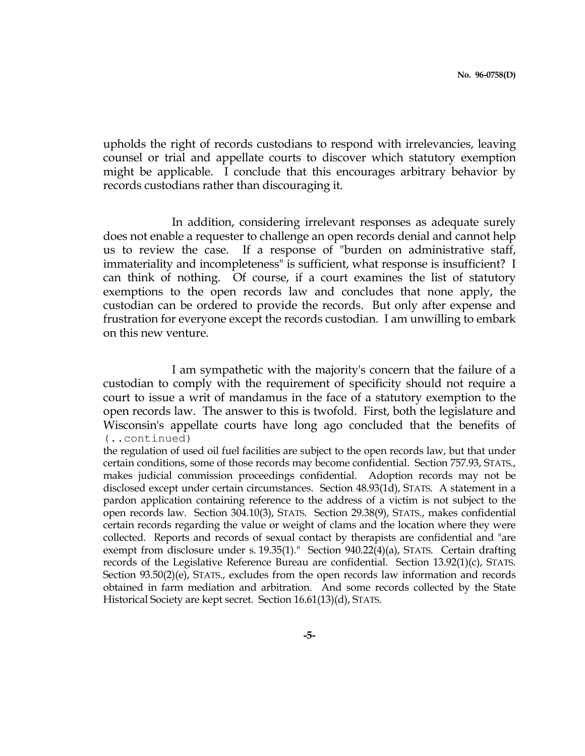upholds the right of records custodians to respond with irrelevancies, leaving counsel or trial and appellate courts to discover which statutory exemption might be applicable. I conclude that this encourages arbitrary behavior by records custodians rather than discouraging it.

 In addition, considering irrelevant responses as adequate surely does not enable a requester to challenge an open records denial and cannot help us to review the case. If a response of "burden on administrative staff, immateriality and incompleteness" is sufficient, what response is insufficient? I can think of nothing. Of course, if a court examines the list of statutory exemptions to the open records law and concludes that none apply, the custodian can be ordered to provide the records. But only after expense and frustration for everyone except the records custodian. I am unwilling to embark on this new venture.

 I am sympathetic with the majority's concern that the failure of a custodian to comply with the requirement of specificity should not require a court to issue a writ of mandamus in the face of a statutory exemption to the open records law. The answer to this is twofold. First, both the legislature and Wisconsin's appellate courts have long ago concluded that the benefits of (..continued)

the regulation of used oil fuel facilities are subject to the open records law, but that under certain conditions, some of those records may become confidential. Section 757.93, STATS., makes judicial commission proceedings confidential. Adoption records may not be disclosed except under certain circumstances. Section 48.93(1d), STATS. A statement in a pardon application containing reference to the address of a victim is not subject to the open records law. Section 304.10(3), STATS. Section 29.38(9), STATS., makes confidential certain records regarding the value or weight of clams and the location where they were collected. Reports and records of sexual contact by therapists are confidential and "are exempt from disclosure under s. 19.35(1)." Section 940.22(4)(a), STATS. Certain drafting records of the Legislative Reference Bureau are confidential. Section 13.92(1)(c), STATS. Section 93.50(2)(e), STATS., excludes from the open records law information and records obtained in farm mediation and arbitration. And some records collected by the State Historical Society are kept secret. Section 16.61(13)(d), STATS.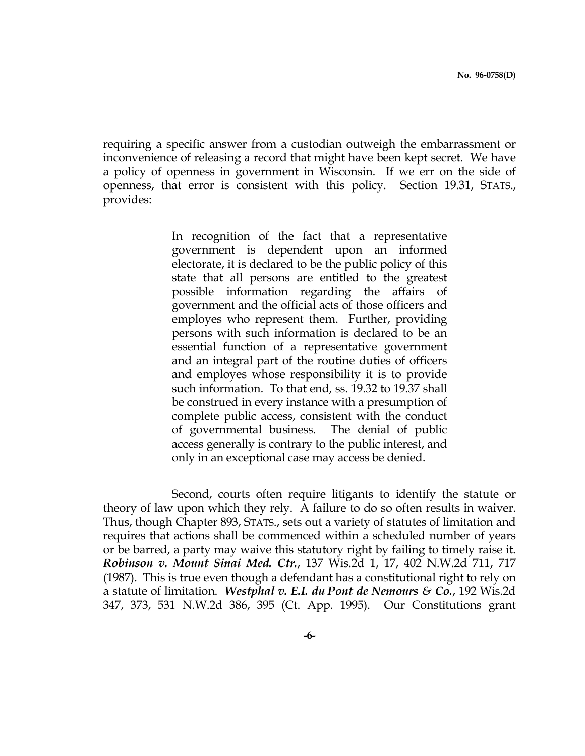requiring a specific answer from a custodian outweigh the embarrassment or inconvenience of releasing a record that might have been kept secret. We have a policy of openness in government in Wisconsin. If we err on the side of openness, that error is consistent with this policy. Section 19.31, STATS., provides:

> In recognition of the fact that a representative government is dependent upon an informed electorate, it is declared to be the public policy of this state that all persons are entitled to the greatest possible information regarding the affairs of government and the official acts of those officers and employes who represent them. Further, providing persons with such information is declared to be an essential function of a representative government and an integral part of the routine duties of officers and employes whose responsibility it is to provide such information. To that end, ss. 19.32 to 19.37 shall be construed in every instance with a presumption of complete public access, consistent with the conduct of governmental business. The denial of public access generally is contrary to the public interest, and only in an exceptional case may access be denied.

 Second, courts often require litigants to identify the statute or theory of law upon which they rely. A failure to do so often results in waiver. Thus, though Chapter 893, STATS., sets out a variety of statutes of limitation and requires that actions shall be commenced within a scheduled number of years or be barred, a party may waive this statutory right by failing to timely raise it. Robinson v. Mount Sinai Med. Ctr., 137 Wis.2d 1, 17, 402 N.W.2d 711, 717 (1987). This is true even though a defendant has a constitutional right to rely on a statute of limitation. Westphal v. E.I. du Pont de Nemours & Co., 192 Wis.2d 347, 373, 531 N.W.2d 386, 395 (Ct. App. 1995). Our Constitutions grant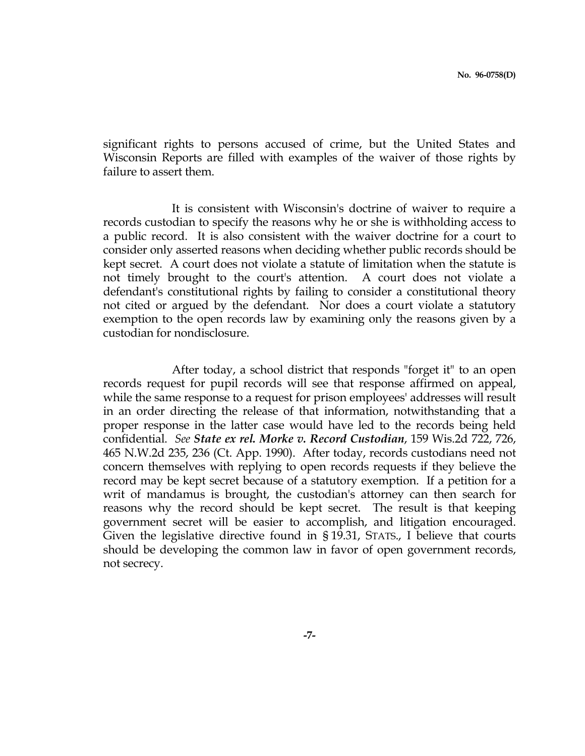significant rights to persons accused of crime, but the United States and Wisconsin Reports are filled with examples of the waiver of those rights by failure to assert them.

 It is consistent with Wisconsin's doctrine of waiver to require a records custodian to specify the reasons why he or she is withholding access to a public record. It is also consistent with the waiver doctrine for a court to consider only asserted reasons when deciding whether public records should be kept secret. A court does not violate a statute of limitation when the statute is not timely brought to the court's attention. A court does not violate a defendant's constitutional rights by failing to consider a constitutional theory not cited or argued by the defendant. Nor does a court violate a statutory exemption to the open records law by examining only the reasons given by a custodian for nondisclosure.

 After today, a school district that responds "forget it" to an open records request for pupil records will see that response affirmed on appeal, while the same response to a request for prison employees' addresses will result in an order directing the release of that information, notwithstanding that a proper response in the latter case would have led to the records being held confidential. See State ex rel. Morke v. Record Custodian, 159 Wis.2d 722, 726, 465 N.W.2d 235, 236 (Ct. App. 1990). After today, records custodians need not concern themselves with replying to open records requests if they believe the record may be kept secret because of a statutory exemption. If a petition for a writ of mandamus is brought, the custodian's attorney can then search for reasons why the record should be kept secret. The result is that keeping government secret will be easier to accomplish, and litigation encouraged. Given the legislative directive found in § 19.31, STATS., I believe that courts should be developing the common law in favor of open government records, not secrecy.